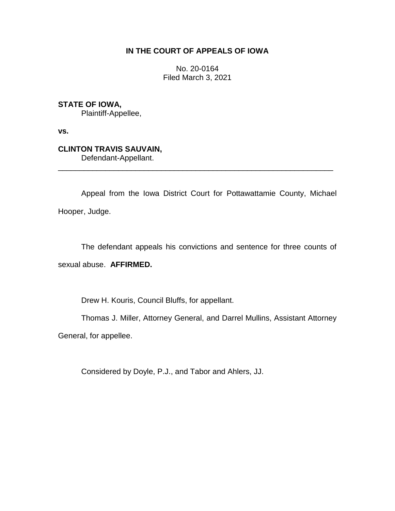# **IN THE COURT OF APPEALS OF IOWA**

No. 20-0164 Filed March 3, 2021

**STATE OF IOWA,**

Plaintiff-Appellee,

**vs.**

**CLINTON TRAVIS SAUVAIN,** Defendant-Appellant.

Appeal from the Iowa District Court for Pottawattamie County, Michael Hooper, Judge.

\_\_\_\_\_\_\_\_\_\_\_\_\_\_\_\_\_\_\_\_\_\_\_\_\_\_\_\_\_\_\_\_\_\_\_\_\_\_\_\_\_\_\_\_\_\_\_\_\_\_\_\_\_\_\_\_\_\_\_\_\_\_\_\_

The defendant appeals his convictions and sentence for three counts of sexual abuse. **AFFIRMED.**

Drew H. Kouris, Council Bluffs, for appellant.

Thomas J. Miller, Attorney General, and Darrel Mullins, Assistant Attorney

General, for appellee.

Considered by Doyle, P.J., and Tabor and Ahlers, JJ.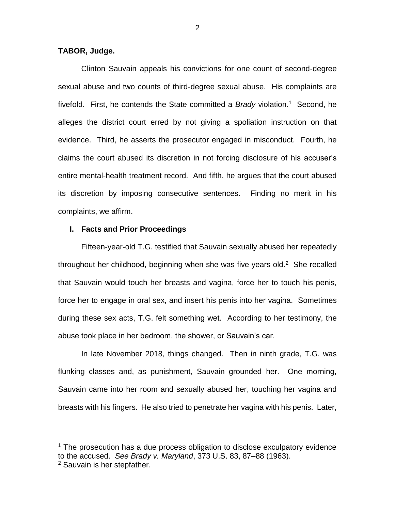### **TABOR, Judge.**

 $\overline{a}$ 

Clinton Sauvain appeals his convictions for one count of second-degree sexual abuse and two counts of third-degree sexual abuse. His complaints are fivefold. First, he contends the State committed a *Brady* violation. 1 Second, he alleges the district court erred by not giving a spoliation instruction on that evidence. Third, he asserts the prosecutor engaged in misconduct. Fourth, he claims the court abused its discretion in not forcing disclosure of his accuser's entire mental-health treatment record. And fifth, he argues that the court abused its discretion by imposing consecutive sentences. Finding no merit in his complaints, we affirm.

### **I. Facts and Prior Proceedings**

Fifteen-year-old T.G. testified that Sauvain sexually abused her repeatedly throughout her childhood, beginning when she was five years old.<sup>2</sup> She recalled that Sauvain would touch her breasts and vagina, force her to touch his penis, force her to engage in oral sex, and insert his penis into her vagina. Sometimes during these sex acts, T.G. felt something wet. According to her testimony, the abuse took place in her bedroom, the shower, or Sauvain's car.

In late November 2018, things changed. Then in ninth grade, T.G. was flunking classes and, as punishment, Sauvain grounded her. One morning, Sauvain came into her room and sexually abused her, touching her vagina and breasts with his fingers. He also tried to penetrate her vagina with his penis. Later,

 $1$  The prosecution has a due process obligation to disclose exculpatory evidence to the accused. *See Brady v. Maryland*, 373 U.S. 83, 87–88 (1963). <sup>2</sup> Sauvain is her stepfather.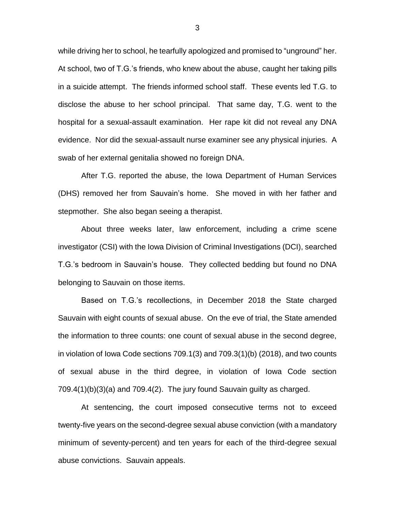while driving her to school, he tearfully apologized and promised to "unground" her. At school, two of T.G.'s friends, who knew about the abuse, caught her taking pills in a suicide attempt. The friends informed school staff. These events led T.G. to disclose the abuse to her school principal. That same day, T.G. went to the hospital for a sexual-assault examination. Her rape kit did not reveal any DNA evidence. Nor did the sexual-assault nurse examiner see any physical injuries. A swab of her external genitalia showed no foreign DNA.

After T.G. reported the abuse, the Iowa Department of Human Services (DHS) removed her from Sauvain's home. She moved in with her father and stepmother. She also began seeing a therapist.

About three weeks later, law enforcement, including a crime scene investigator (CSI) with the Iowa Division of Criminal Investigations (DCI), searched T.G.'s bedroom in Sauvain's house. They collected bedding but found no DNA belonging to Sauvain on those items.

Based on T.G.'s recollections, in December 2018 the State charged Sauvain with eight counts of sexual abuse. On the eve of trial, the State amended the information to three counts: one count of sexual abuse in the second degree, in violation of Iowa Code sections 709.1(3) and 709.3(1)(b) (2018), and two counts of sexual abuse in the third degree, in violation of Iowa Code section 709.4(1)(b)(3)(a) and 709.4(2). The jury found Sauvain guilty as charged.

At sentencing, the court imposed consecutive terms not to exceed twenty-five years on the second-degree sexual abuse conviction (with a mandatory minimum of seventy-percent) and ten years for each of the third-degree sexual abuse convictions. Sauvain appeals.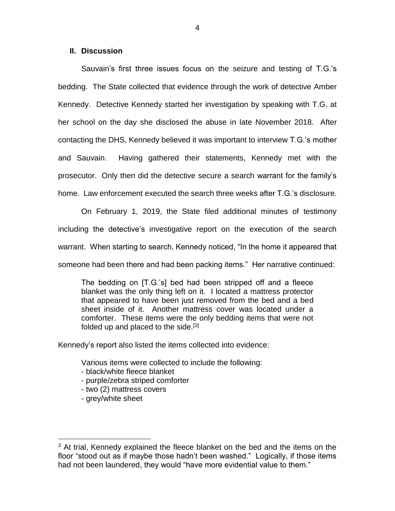## **II. Discussion**

Sauvain's first three issues focus on the seizure and testing of T.G.'s bedding. The State collected that evidence through the work of detective Amber Kennedy. Detective Kennedy started her investigation by speaking with T.G. at her school on the day she disclosed the abuse in late November 2018. After contacting the DHS, Kennedy believed it was important to interview T.G.'s mother and Sauvain. Having gathered their statements, Kennedy met with the prosecutor. Only then did the detective secure a search warrant for the family's home. Law enforcement executed the search three weeks after T.G.'s disclosure.

On February 1, 2019, the State filed additional minutes of testimony including the detective's investigative report on the execution of the search warrant. When starting to search, Kennedy noticed, "In the home it appeared that someone had been there and had been packing items." Her narrative continued:

The bedding on [T.G.'s] bed had been stripped off and a fleece blanket was the only thing left on it. I located a mattress protector that appeared to have been just removed from the bed and a bed sheet inside of it. Another mattress cover was located under a comforter. These items were the only bedding items that were not folded up and placed to the side.<sup>[3]</sup>

Kennedy's report also listed the items collected into evidence:

Various items were collected to include the following:

- black/white fleece blanket
- purple/zebra striped comforter
- two (2) mattress covers
- grey/white sheet

 $\overline{a}$ 

 $3$  At trial, Kennedy explained the fleece blanket on the bed and the items on the floor "stood out as if maybe those hadn't been washed." Logically, if those items had not been laundered, they would "have more evidential value to them."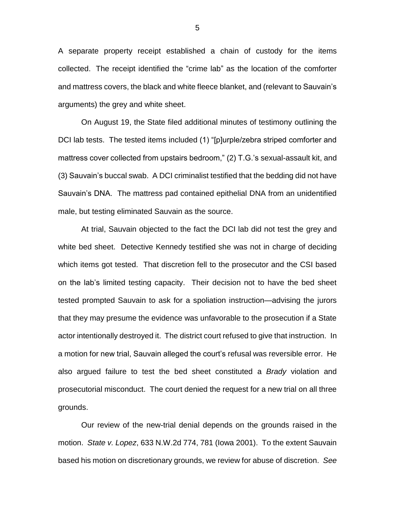A separate property receipt established a chain of custody for the items collected. The receipt identified the "crime lab" as the location of the comforter and mattress covers, the black and white fleece blanket, and (relevant to Sauvain's arguments) the grey and white sheet.

On August 19, the State filed additional minutes of testimony outlining the DCI lab tests. The tested items included (1) "[p]urple/zebra striped comforter and mattress cover collected from upstairs bedroom," (2) T.G.'s sexual-assault kit, and (3) Sauvain's buccal swab. A DCI criminalist testified that the bedding did not have Sauvain's DNA. The mattress pad contained epithelial DNA from an unidentified male, but testing eliminated Sauvain as the source.

At trial, Sauvain objected to the fact the DCI lab did not test the grey and white bed sheet. Detective Kennedy testified she was not in charge of deciding which items got tested. That discretion fell to the prosecutor and the CSI based on the lab's limited testing capacity. Their decision not to have the bed sheet tested prompted Sauvain to ask for a spoliation instruction—advising the jurors that they may presume the evidence was unfavorable to the prosecution if a State actor intentionally destroyed it. The district court refused to give that instruction. In a motion for new trial, Sauvain alleged the court's refusal was reversible error. He also argued failure to test the bed sheet constituted a *Brady* violation and prosecutorial misconduct. The court denied the request for a new trial on all three grounds.

Our review of the new-trial denial depends on the grounds raised in the motion. *State v. Lopez*, 633 N.W.2d 774, 781 (Iowa 2001). To the extent Sauvain based his motion on discretionary grounds, we review for abuse of discretion. *See* 

5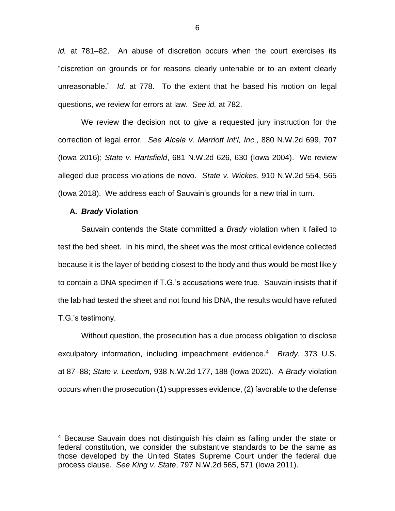*id.* at 781–82. An abuse of discretion occurs when the court exercises its "discretion on grounds or for reasons clearly untenable or to an extent clearly unreasonable." *Id.* at 778. To the extent that he based his motion on legal questions, we review for errors at law. *See id.* at 782.

We review the decision not to give a requested jury instruction for the correction of legal error. *See Alcala v. Marriott Int'l, Inc.*, 880 N.W.2d 699, 707 (Iowa 2016); *State v. Hartsfield*, 681 N.W.2d 626, 630 (Iowa 2004). We review alleged due process violations de novo. *State v. Wickes*, 910 N.W.2d 554, 565 (Iowa 2018). We address each of Sauvain's grounds for a new trial in turn.

### **A.** *Brady* **Violation**

 $\overline{a}$ 

Sauvain contends the State committed a *Brady* violation when it failed to test the bed sheet. In his mind, the sheet was the most critical evidence collected because it is the layer of bedding closest to the body and thus would be most likely to contain a DNA specimen if T.G.'s accusations were true. Sauvain insists that if the lab had tested the sheet and not found his DNA, the results would have refuted T.G.'s testimony.

Without question, the prosecution has a due process obligation to disclose exculpatory information, including impeachment evidence. 4 *Brady*, 373 U.S. at 87–88; *State v. Leedom*, 938 N.W.2d 177, 188 (Iowa 2020). A *Brady* violation occurs when the prosecution (1) suppresses evidence, (2) favorable to the defense

<sup>4</sup> Because Sauvain does not distinguish his claim as falling under the state or federal constitution, we consider the substantive standards to be the same as those developed by the United States Supreme Court under the federal due process clause. *See King v. State*, 797 N.W.2d 565, 571 (Iowa 2011).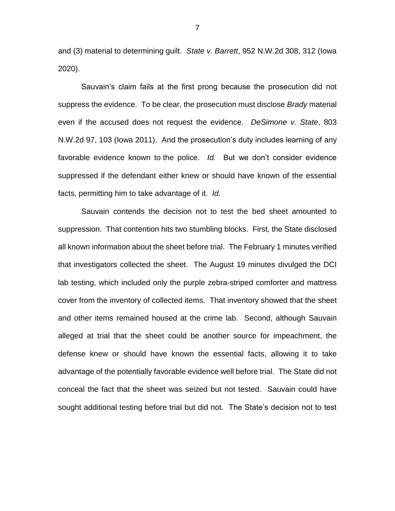and (3) material to determining guilt. *State v. Barrett*, 952 N.W.2d 308, 312 (Iowa 2020).

Sauvain's claim fails at the first prong because the prosecution did not suppress the evidence. To be clear, the prosecution must disclose *Brady* material even if the accused does not request the evidence. *DeSimone v. State*, 803 N.W.2d 97, 103 (Iowa 2011). And the prosecution's duty includes learning of any favorable evidence known to the police. *Id.* But we don't consider evidence suppressed if the defendant either knew or should have known of the essential facts, permitting him to take advantage of it. *Id.*

Sauvain contends the decision not to test the bed sheet amounted to suppression. That contention hits two stumbling blocks. First, the State disclosed all known information about the sheet before trial. The February 1 minutes verified that investigators collected the sheet. The August 19 minutes divulged the DCI lab testing, which included only the purple zebra-striped comforter and mattress cover from the inventory of collected items. That inventory showed that the sheet and other items remained housed at the crime lab. Second, although Sauvain alleged at trial that the sheet could be another source for impeachment, the defense knew or should have known the essential facts, allowing it to take advantage of the potentially favorable evidence well before trial. The State did not conceal the fact that the sheet was seized but not tested. Sauvain could have sought additional testing before trial but did not. The State's decision not to test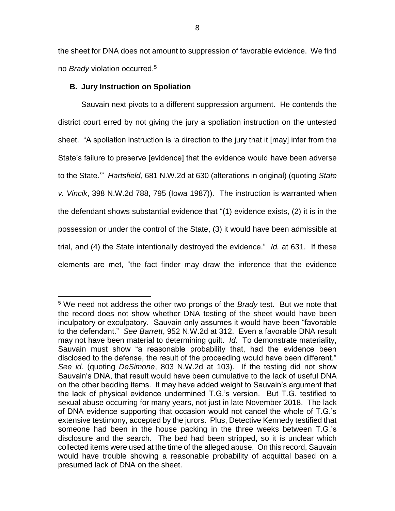the sheet for DNA does not amount to suppression of favorable evidence. We find no *Brady* violation occurred.<sup>5</sup>

## **B. Jury Instruction on Spoliation**

 $\overline{a}$ 

Sauvain next pivots to a different suppression argument. He contends the district court erred by not giving the jury a spoliation instruction on the untested sheet. "A spoliation instruction is 'a direction to the jury that it [may] infer from the State's failure to preserve [evidence] that the evidence would have been adverse to the State.'" *Hartsfield*, 681 N.W.2d at 630 (alterations in original) (quoting *State v. Vincik*, 398 N.W.2d 788, 795 (Iowa 1987)). The instruction is warranted when the defendant shows substantial evidence that "(1) evidence exists, (2) it is in the possession or under the control of the State, (3) it would have been admissible at trial, and (4) the State intentionally destroyed the evidence." *Id.* at 631. If these elements are met, "the fact finder may draw the inference that the evidence

<sup>5</sup> We need not address the other two prongs of the *Brady* test. But we note that the record does not show whether DNA testing of the sheet would have been inculpatory or exculpatory. Sauvain only assumes it would have been "favorable to the defendant." *See Barrett*, 952 N.W.2d at 312. Even a favorable DNA result may not have been material to determining guilt. *Id.* To demonstrate materiality, Sauvain must show "a reasonable probability that, had the evidence been disclosed to the defense, the result of the proceeding would have been different." *See id.* (quoting *DeSimone*, 803 N.W.2d at 103). If the testing did not show Sauvain's DNA, that result would have been cumulative to the lack of useful DNA on the other bedding items. It may have added weight to Sauvain's argument that the lack of physical evidence undermined T.G.'s version. But T.G. testified to sexual abuse occurring for many years, not just in late November 2018. The lack of DNA evidence supporting that occasion would not cancel the whole of T.G.'s extensive testimony, accepted by the jurors. Plus, Detective Kennedy testified that someone had been in the house packing in the three weeks between T.G.'s disclosure and the search. The bed had been stripped, so it is unclear which collected items were used at the time of the alleged abuse. On this record, Sauvain would have trouble showing a reasonable probability of acquittal based on a presumed lack of DNA on the sheet.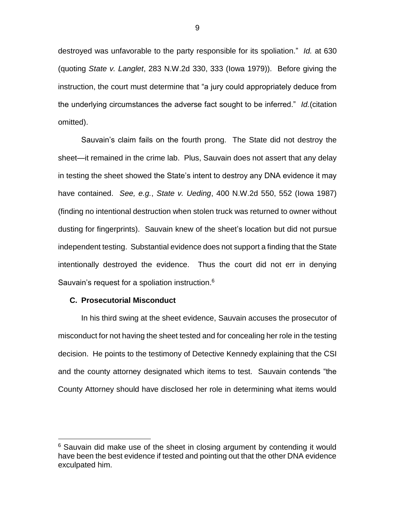destroyed was unfavorable to the party responsible for its spoliation." *Id.* at 630 (quoting *State v. Langlet*, 283 N.W.2d 330, 333 (Iowa 1979)). Before giving the instruction, the court must determine that "a jury could appropriately deduce from the underlying circumstances the adverse fact sought to be inferred." *Id.*(citation omitted).

Sauvain's claim fails on the fourth prong. The State did not destroy the sheet—it remained in the crime lab. Plus, Sauvain does not assert that any delay in testing the sheet showed the State's intent to destroy any DNA evidence it may have contained. *See, e.g.*, *State v. Ueding*, 400 N.W.2d 550, 552 (Iowa 1987) (finding no intentional destruction when stolen truck was returned to owner without dusting for fingerprints). Sauvain knew of the sheet's location but did not pursue independent testing. Substantial evidence does not support a finding that the State intentionally destroyed the evidence. Thus the court did not err in denying Sauvain's request for a spoliation instruction.<sup>6</sup>

### **C. Prosecutorial Misconduct**

 $\overline{a}$ 

In his third swing at the sheet evidence, Sauvain accuses the prosecutor of misconduct for not having the sheet tested and for concealing her role in the testing decision. He points to the testimony of Detective Kennedy explaining that the CSI and the county attorney designated which items to test. Sauvain contends "the County Attorney should have disclosed her role in determining what items would

 $6$  Sauvain did make use of the sheet in closing argument by contending it would have been the best evidence if tested and pointing out that the other DNA evidence exculpated him.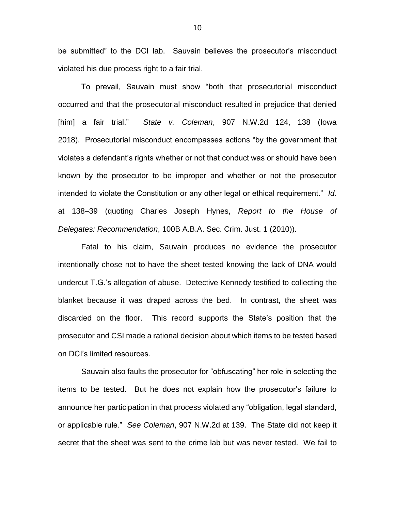be submitted" to the DCI lab. Sauvain believes the prosecutor's misconduct violated his due process right to a fair trial.

To prevail, Sauvain must show "both that prosecutorial misconduct occurred and that the prosecutorial misconduct resulted in prejudice that denied [him] a fair trial." *State v. Coleman*, 907 N.W.2d 124, 138 (Iowa 2018). Prosecutorial misconduct encompasses actions "by the government that violates a defendant's rights whether or not that conduct was or should have been known by the prosecutor to be improper and whether or not the prosecutor intended to violate the Constitution or any other legal or ethical requirement." *Id.* at 138–39 (quoting Charles Joseph Hynes, *Report to the House of Delegates: Recommendation*, 100B A.B.A. Sec. Crim. Just. 1 (2010)).

Fatal to his claim, Sauvain produces no evidence the prosecutor intentionally chose not to have the sheet tested knowing the lack of DNA would undercut T.G.'s allegation of abuse. Detective Kennedy testified to collecting the blanket because it was draped across the bed. In contrast, the sheet was discarded on the floor. This record supports the State's position that the prosecutor and CSI made a rational decision about which items to be tested based on DCI's limited resources.

Sauvain also faults the prosecutor for "obfuscating" her role in selecting the items to be tested. But he does not explain how the prosecutor's failure to announce her participation in that process violated any "obligation, legal standard, or applicable rule." *See Coleman*, 907 N.W.2d at 139. The State did not keep it secret that the sheet was sent to the crime lab but was never tested. We fail to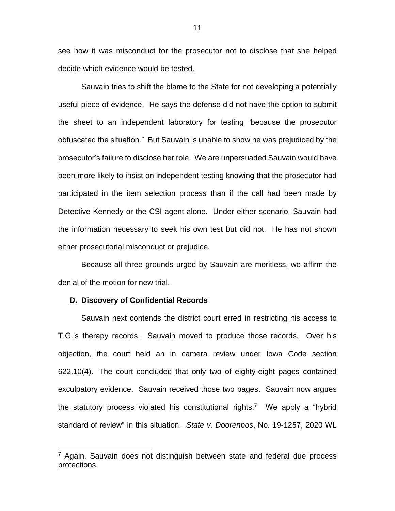see how it was misconduct for the prosecutor not to disclose that she helped decide which evidence would be tested.

Sauvain tries to shift the blame to the State for not developing a potentially useful piece of evidence. He says the defense did not have the option to submit the sheet to an independent laboratory for testing "because the prosecutor obfuscated the situation." But Sauvain is unable to show he was prejudiced by the prosecutor's failure to disclose her role. We are unpersuaded Sauvain would have been more likely to insist on independent testing knowing that the prosecutor had participated in the item selection process than if the call had been made by Detective Kennedy or the CSI agent alone. Under either scenario, Sauvain had the information necessary to seek his own test but did not. He has not shown either prosecutorial misconduct or prejudice.

Because all three grounds urged by Sauvain are meritless, we affirm the denial of the motion for new trial.

### **D. Discovery of Confidential Records**

 $\overline{a}$ 

Sauvain next contends the district court erred in restricting his access to T.G.'s therapy records. Sauvain moved to produce those records. Over his objection, the court held an in camera review under Iowa Code section 622.10(4). The court concluded that only two of eighty-eight pages contained exculpatory evidence. Sauvain received those two pages. Sauvain now argues the statutory process violated his constitutional rights.<sup>7</sup> We apply a "hybrid standard of review" in this situation. *State v. Doorenbos*, No. 19-1257, 2020 WL

 $7$  Again, Sauvain does not distinguish between state and federal due process protections.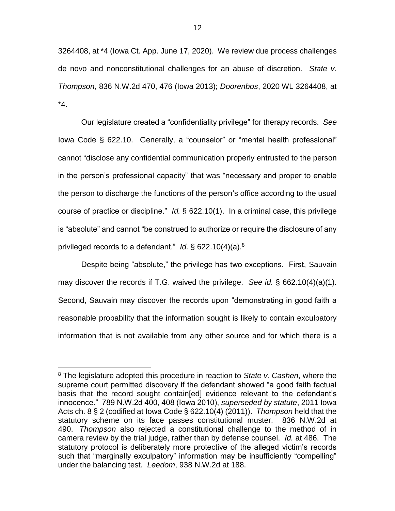3264408, at \*4 (Iowa Ct. App. June 17, 2020). We review due process challenges de novo and nonconstitutional challenges for an abuse of discretion. *State v. Thompson*, 836 N.W.2d 470, 476 (Iowa 2013); *Doorenbos*, 2020 WL 3264408, at \*4.

Our legislature created a "confidentiality privilege" for therapy records. *See* Iowa Code § 622.10. Generally, a "counselor" or "mental health professional" cannot "disclose any confidential communication properly entrusted to the person in the person's professional capacity" that was "necessary and proper to enable the person to discharge the functions of the person's office according to the usual course of practice or discipline." *Id.* § 622.10(1). In a criminal case, this privilege is "absolute" and cannot "be construed to authorize or require the disclosure of any privileged records to a defendant." *Id.* § 622.10(4)(a).<sup>8</sup>

Despite being "absolute," the privilege has two exceptions. First, Sauvain may discover the records if T.G. waived the privilege. *See id.* § 662.10(4)(a)(1). Second, Sauvain may discover the records upon "demonstrating in good faith a reasonable probability that the information sought is likely to contain exculpatory information that is not available from any other source and for which there is a

 $\overline{a}$ 

<sup>8</sup> The legislature adopted this procedure in reaction to *State v. Cashen*, where the supreme court permitted discovery if the defendant showed "a good faith factual basis that the record sought contain[ed] evidence relevant to the defendant's innocence." 789 N.W.2d 400, 408 (Iowa 2010), *superseded by statute*, 2011 Iowa Acts ch. 8 § 2 (codified at Iowa Code § 622.10(4) (2011)). *Thompson* held that the statutory scheme on its face passes constitutional muster. 836 N.W.2d at 490. *Thompson* also rejected a constitutional challenge to the method of in camera review by the trial judge, rather than by defense counsel. *Id.* at 486. The statutory protocol is deliberately more protective of the alleged victim's records such that "marginally exculpatory" information may be insufficiently "compelling" under the balancing test. *Leedom*, 938 N.W.2d at 188.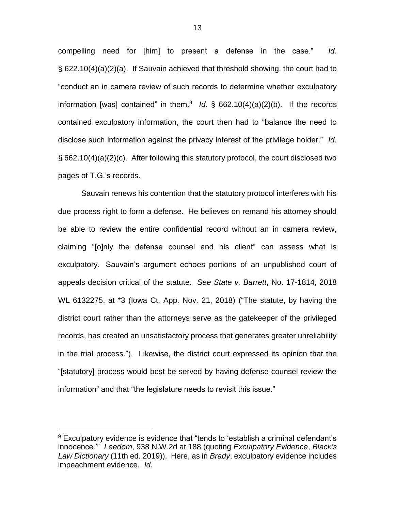compelling need for [him] to present a defense in the case." *Id.* § 622.10(4)(a)(2)(a). If Sauvain achieved that threshold showing, the court had to "conduct an in camera review of such records to determine whether exculpatory information [was] contained" in them.<sup>9</sup> *Id.* § 662.10(4)(a)(2)(b). If the records contained exculpatory information, the court then had to "balance the need to disclose such information against the privacy interest of the privilege holder." *Id.* § 662.10(4)(a)(2)(c). After following this statutory protocol, the court disclosed two pages of T.G.'s records.

Sauvain renews his contention that the statutory protocol interferes with his due process right to form a defense. He believes on remand his attorney should be able to review the entire confidential record without an in camera review, claiming "[o]nly the defense counsel and his client" can assess what is exculpatory. Sauvain's argument echoes portions of an unpublished court of appeals decision critical of the statute. *See State v. Barrett*, No. 17-1814, 2018 WL 6132275, at \*3 (Iowa Ct. App. Nov. 21, 2018) ("The statute, by having the district court rather than the attorneys serve as the gatekeeper of the privileged records, has created an unsatisfactory process that generates greater unreliability in the trial process."). Likewise, the district court expressed its opinion that the "[statutory] process would best be served by having defense counsel review the information" and that "the legislature needs to revisit this issue."

 $\overline{a}$ 

 $9$  Exculpatory evidence is evidence that "tends to 'establish a criminal defendant's innocence.'" *Leedom*, 938 N.W.2d at 188 (quoting *Exculpatory Evidence*, *Black's Law Dictionary* (11th ed. 2019)). Here, as in *Brady*, exculpatory evidence includes impeachment evidence. *Id.*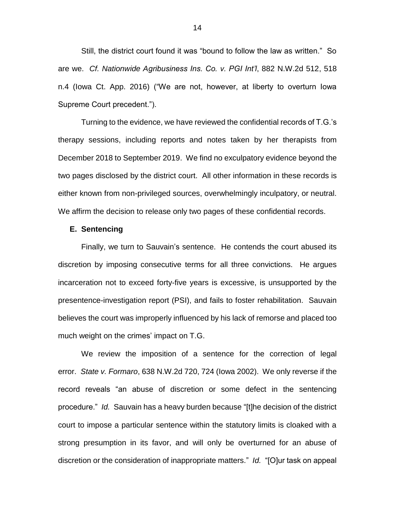Still, the district court found it was "bound to follow the law as written." So are we. *Cf. Nationwide Agribusiness Ins. Co. v. PGI Int'l*, 882 N.W.2d 512, 518 n.4 (Iowa Ct. App. 2016) ("We are not, however, at liberty to overturn Iowa Supreme Court precedent.").

Turning to the evidence, we have reviewed the confidential records of T.G.'s therapy sessions, including reports and notes taken by her therapists from December 2018 to September 2019. We find no exculpatory evidence beyond the two pages disclosed by the district court. All other information in these records is either known from non-privileged sources, overwhelmingly inculpatory, or neutral. We affirm the decision to release only two pages of these confidential records.

### **E. Sentencing**

Finally, we turn to Sauvain's sentence. He contends the court abused its discretion by imposing consecutive terms for all three convictions. He argues incarceration not to exceed forty-five years is excessive, is unsupported by the presentence-investigation report (PSI), and fails to foster rehabilitation. Sauvain believes the court was improperly influenced by his lack of remorse and placed too much weight on the crimes' impact on T.G.

We review the imposition of a sentence for the correction of legal error. *State v. Formaro*, 638 N.W.2d 720, 724 (Iowa 2002). We only reverse if the record reveals "an abuse of discretion or some defect in the sentencing procedure." *Id.* Sauvain has a heavy burden because "[t]he decision of the district court to impose a particular sentence within the statutory limits is cloaked with a strong presumption in its favor, and will only be overturned for an abuse of discretion or the consideration of inappropriate matters." *Id.* "[O]ur task on appeal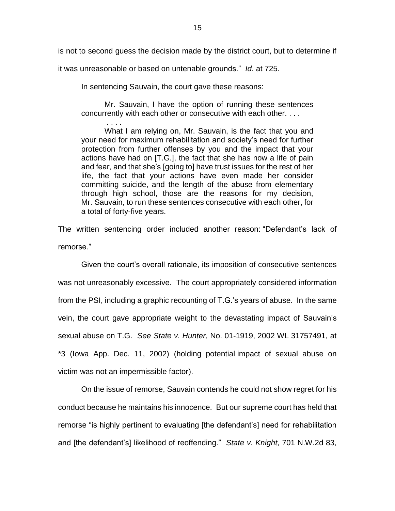is not to second guess the decision made by the district court, but to determine if

it was unreasonable or based on untenable grounds." *Id.* at 725.

. . . .

In sentencing Sauvain, the court gave these reasons:

Mr. Sauvain, I have the option of running these sentences concurrently with each other or consecutive with each other. . . .

What I am relying on, Mr. Sauvain, is the fact that you and your need for maximum rehabilitation and society's need for further protection from further offenses by you and the impact that your actions have had on [T.G.], the fact that she has now a life of pain and fear, and that she's [going to] have trust issues for the rest of her life, the fact that your actions have even made her consider committing suicide, and the length of the abuse from elementary through high school, those are the reasons for my decision, Mr. Sauvain, to run these sentences consecutive with each other, for a total of forty-five years.

The written sentencing order included another reason: "Defendant's lack of remorse."

Given the court's overall rationale, its imposition of consecutive sentences was not unreasonably excessive. The court appropriately considered information from the PSI, including a graphic recounting of T.G.'s years of abuse. In the same vein, the court gave appropriate weight to the devastating impact of Sauvain's sexual abuse on T.G. *See State v. Hunter*, No. 01-1919, 2002 WL 31757491, at \*3 (Iowa App. Dec. 11, 2002) (holding potential impact of sexual abuse on victim was not an impermissible factor).

On the issue of remorse, Sauvain contends he could not show regret for his conduct because he maintains his innocence. But our supreme court has held that remorse "is highly pertinent to evaluating [the defendant's] need for rehabilitation and [the defendant's] likelihood of reoffending." *State v. Knight*, 701 N.W.2d 83,